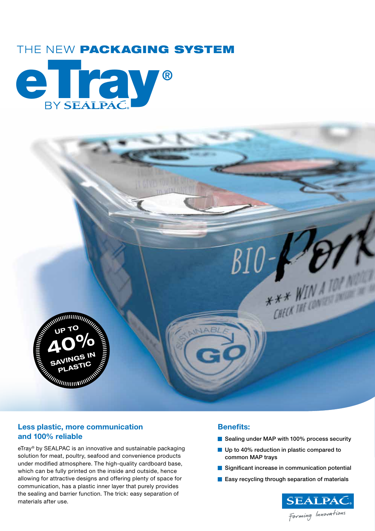# THE NEW PACKAGING SYSTEM





## **Less plastic, more communication and 100% reliable**

eTray<sup>®</sup> by SEALPAC is an innovative and sustainable packaging solution for meat, poultry, seafood and convenience products under modified atmosphere. The high-quality cardboard base, which can be fully printed on the inside and outside, hence allowing for attractive designs and offering plenty of space for communication, has a plastic inner layer that purely provides the sealing and barrier function. The trick: easy separation of materials after use.

### **Benefits:**

- Sealing under MAP with 100% process security
- Up to 40% reduction in plastic compared to common MAP trays
- Significant increase in communication potential
- **Easy recycling through separation of materials**